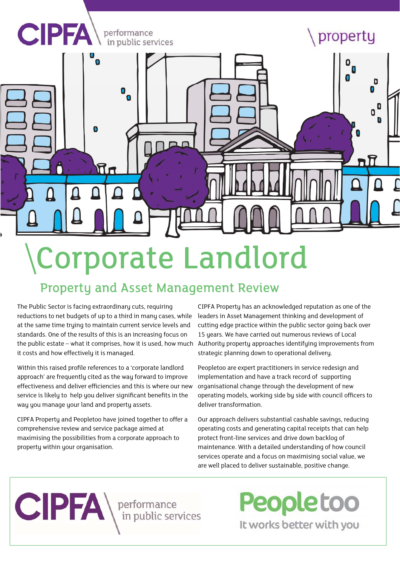

# Corporate Landlord

## Property and Asset Management Review

The Public Sector is facing extraordinary cuts, requiring reductions to net budgets of up to a third in many cases, while at the same time trying to maintain current service levels and standards. One of the results of this is an increasing focus on the public estate – what it comprises, how it is used, how much it costs and how effectively it is managed.

Within this raised profile references to a 'corporate landlord approach' are frequently cited as the way forward to improve effectiveness and deliver efficiencies and this is where our new service is likely to help you deliver significant benefits in the way you manage your land and property assets.

CIPFA Property and Peopletoo have joined together to offer a comprehensive review and service package aimed at maximising the possibilities from a corporate approach to property within your organisation.

CIPFA Property has an acknowledged reputation as one of the leaders in Asset Management thinking and development of cutting edge practice within the public sector going back over 15 years. We have carried out numerous reviews of Local Authority property approaches identifying improvements from strategic planning down to operational delivery.

Peopletoo are expert practitioners in service redesign and implementation and have a track record of supporting organisational change through the development of new operating models, working side by side with council officers to deliver transformation.

Our approach delivers substantial cashable savings, reducing operating costs and generating capital receipts that can help protect front-line services and drive down backlog of maintenance. With a detailed understanding of how council services operate and a focus on maximising social value, we are well placed to deliver sustainable, positive change.

**CIPFA** Performance

**Peopletoo** It works better with you